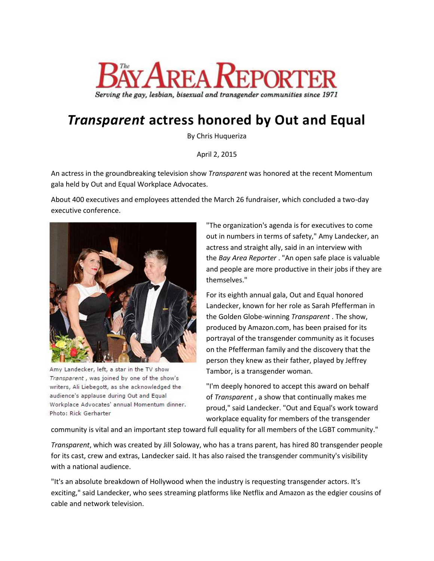

## *Transparent* **actress honored by Out and Equal**

By Chris Huqueriza

April 2, 2015

An actress in the groundbreaking television show *Transparent* was honored at the recent Momentum gala held by Out and Equal Workplace Advocates.

About 400 executives and employees attended the March 26 fundraiser, which concluded a two-day executive conference.



Amy Landecker, left, a star in the TV show Transparent, was joined by one of the show's writers, Ali Liebegott, as she acknowledged the audience's applause during Out and Equal Workplace Advocates' annual Momentum dinner. Photo: Rick Gerharter

"The organization's agenda is for executives to come out in numbers in terms of safety," Amy Landecker, an actress and straight ally, said in an interview with the *Bay Area Reporter* . "An open safe place is valuable and people are more productive in their jobs if they are themselves."

For its eighth annual gala, Out and Equal honored Landecker, known for her role as Sarah Pfefferman in the Golden Globe-winning *Transparent* . The show, produced by Amazon.com, has been praised for its portrayal of the transgender community as it focuses on the Pfefferman family and the discovery that the person they knew as their father, played by Jeffrey Tambor, is a transgender woman.

"I'm deeply honored to accept this award on behalf of *Transparent* , a show that continually makes me proud," said Landecker. "Out and Equal's work toward workplace equality for members of the transgender

community is vital and an important step toward full equality for all members of the LGBT community."

*Transparent*, which was created by Jill Soloway, who has a trans parent, has hired 80 transgender people for its cast, crew and extras, Landecker said. It has also raised the transgender community's visibility with a national audience.

"It's an absolute breakdown of Hollywood when the industry is requesting transgender actors. It's exciting," said Landecker, who sees streaming platforms like Netflix and Amazon as the edgier cousins of cable and network television.